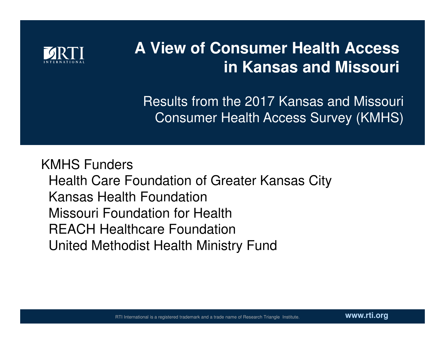

#### **A View of Consumer Health Access in Kansas and Missouri**

Results from the 2017 Kansas and Missouri Consumer Health Access Survey (KMHS)

KMHS Funders Health Care Foundation of Greater Kansas CityKansas Health Foundation Missouri Foundation for Health REACH Healthcare FoundationUnited Methodist Health Ministry Fund

**www.rti.org**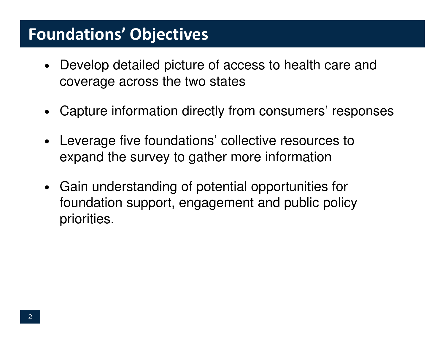#### Foundations' Objectives

- Develop detailed picture of access to health care and coverage across the two states
- •Capture information directly from consumers' responses
- $\bullet$  Leverage five foundations' collective resources to expand the survey to gather more information
- Gain understanding of potential opportunities for foundation support, engagement and public policy priorities.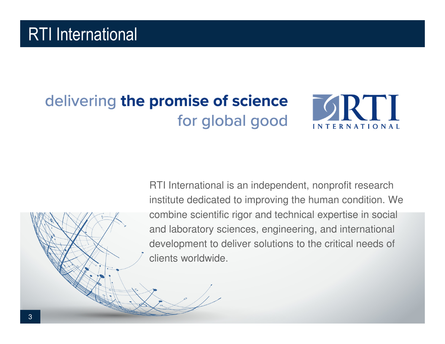## delivering the promise of science for global good



RTI International is an independent, nonprofit research institute dedicated to improving the human condition. We combine scientific rigor and technical expertise in social and laboratory sciences, engineering, and internationaldevelopment to deliver solutions to the critical needs of clients worldwide.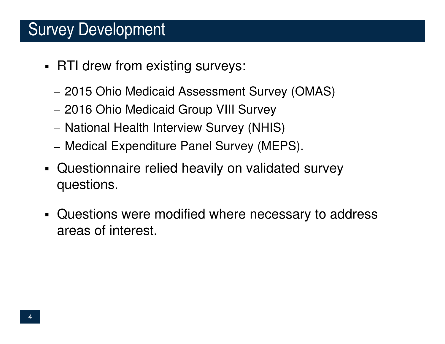#### Survey Development

- RTI drew from existing surveys:
	- 2015 Ohio Medicaid Assessment Survey (OMAS)
	- 2016 Ohio Medicaid Group VIII Survey
	- National Health Interview Survey (NHIS)
	- Medical Expenditure Panel Survey (MEPS).
- ٠ Questionnaire relied heavily on validated survey questions.
- Questions were modified where necessary to address areas of interest.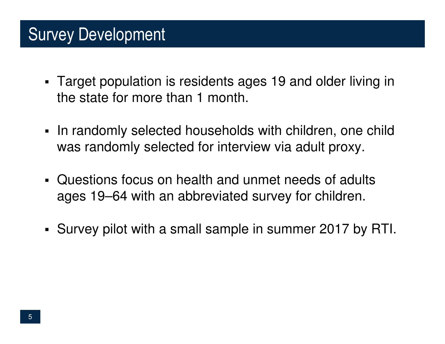### Survey Development

- Target population is residents ages 19 and older living in the state for more than 1 month.
- In randomly selected households with children, one child was randomly selected for interview via adult proxy.
- Questions focus on health and unmet needs of adults ages 19–64 with an abbreviated survey for children.
- ٠ Survey pilot with a small sample in summer 2017 by RTI.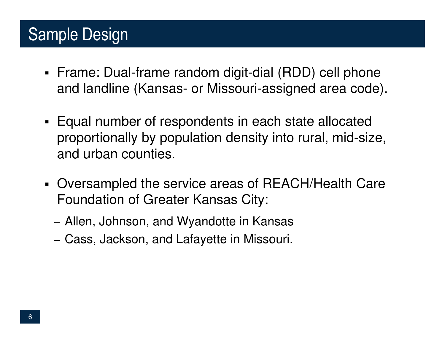## Sample Design

- Frame: Dual-frame random digit-dial (RDD) cell phoneand landline (Kansas- or Missouri-assigned area code).
- Equal number of respondents in each state allocated proportionally by population density into rural, mid-size, and urban counties.
- ٠ Oversampled the service areas of REACH/Health Care Foundation of Greater Kansas City:
	- Allen, Johnson, and Wyandotte in Kansas
	- $-$  Cass, Jackson, and Lafayette in Missouri.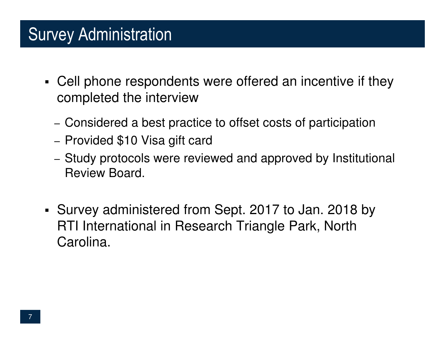## Survey Administration

- Cell phone respondents were offered an incentive if they completed the interview
	- Considered a best practice to offset costs of participation
	- Provided \$10 Visa gift card
	- Study protocols were reviewed and approved by Institutional Review Board.
- Survey administered from Sept. 2017 to Jan. 2018 by RTI International in Research Triangle Park, North Carolina.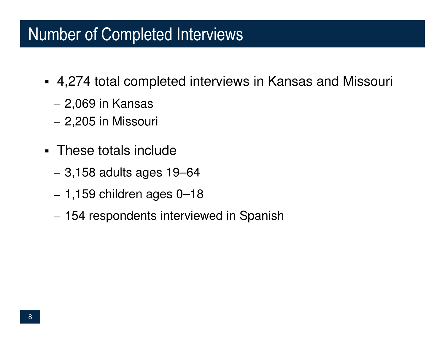#### Number of Completed Interviews

- 4,274 total completed interviews in Kansas and Missouri
	- 2,069 in Kansas
	- 2,205 in Missouri
- These totals include
	- 3,158 adults ages 19–64
	- 1,159 children ages 0–18
	- 154 respondents interviewed in Spanish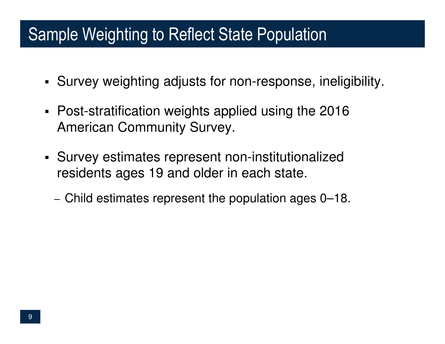#### Sample Weighting to Reflect State Population

- Survey weighting adjusts for non-response, ineligibility.
- Post-stratification weights applied using the 2016 American Community Survey.
- Survey estimates represent non-institutionalized residents ages 19 and older in each state.
	- $-$  Child estimates represent the population ages 0–18.  $\,$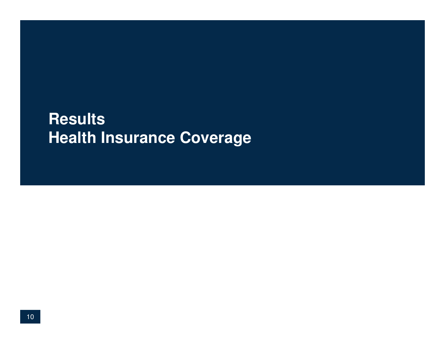#### **ResultsHealth Insurance Coverage**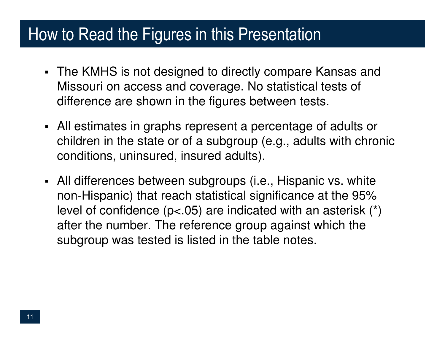#### How to Read the Figures in this Presentation

- The KMHS is not designed to directly compare Kansas and Missouri on access and coverage. No statistical tests of difference are shown in the figures between tests.
- All estimates in graphs represent a percentage of adults or children in the state or of a subgroup (e.g., adults with chronic conditions, uninsured, insured adults).
- All differences between subgroups (i.e., Hispanic vs. white non-Hispanic) that reach statistical significance at the 95% level of confidence (p<.05) are indicated with an asterisk (\*) after the number. The reference group against which the subgroup was tested is listed in the table notes.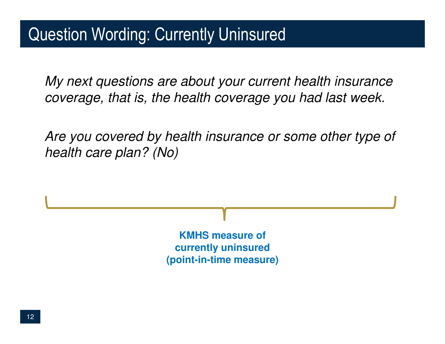My next questions are about your current health insurance coverage, that is, the health coverage you had last week.

Are you covered by health insurance or some other type of health care plan? (No)

> **KMHS measure of currently uninsured(point-in-time measure)**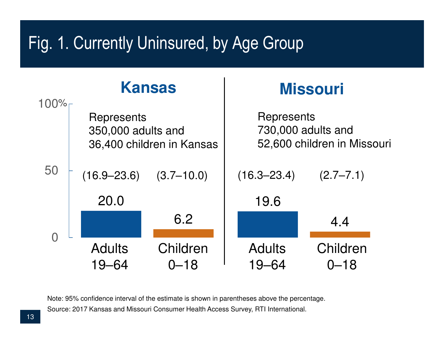# Fig. 1. Currently Uninsured, by Age Group



Source: 2017 Kansas and Missouri Consumer Health Access Survey, RTI International.Note: 95% confidence interval of the estimate is shown in parentheses above the percentage.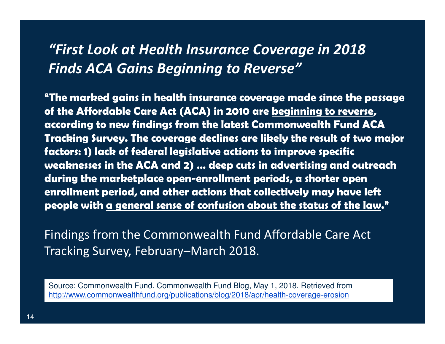#### "First Look at Health Insurance Coverage in 2018 Finds ACA Gains Beginning to Reverse"

"The marked gains in health insurance coverage made since the passage of the Affordable Care Act (ACA) in 2010 are beginning to reverse, according to new findings from the latest Commonwealth Fund ACA Tracking Survey. The coverage declines are likely the result of two major factors: 1) lack of federal legislative actions to improve specific weaknesses in the ACA and 2) … deep cuts in advertising and outreach during the marketplace open-enrollment periods, a shorter open enrollment period, and other actions that collectively may have left people with a general sense of confusion about the status of the law."

Findings from the Commonwealth Fund Affordable Care Act Tracking Survey, February–March 2018.

Source: Commonwealth Fund. Commonwealth Fund Blog, May 1, 2018. Retrieved fromhttp://www.commonwealthfund.org/publications/blog/2018/apr/health-coverage-erosion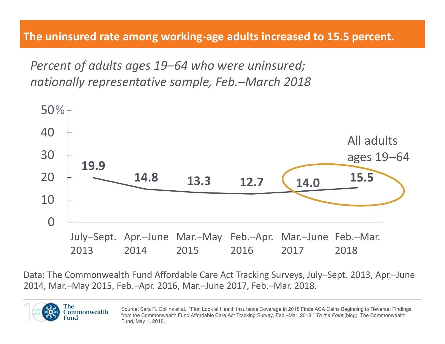Percent of adults ages 19–64 who were uninsured;nationally representative sample, Feb.–March 2018



Data: The Commonwealth Fund Affordable Care Act Tracking Surveys, July–Sept. 2013, Apr.–June 2014, Mar.–May 2015, Feb.–Apr. 2016, Mar.–June 2017, Feb.–Mar. 2018.



Source: Sara R. Collins et al., "First Look at Health Insurance Coverage in 2018 Finds ACA Gains Beginning to Reverse: Findings from the Commonwealth Fund Affordable Care Act Tracking Survey, Feb.–Mar. 2018," *To the Point* (blog), The Commonwealth Fund, May 1, 2018.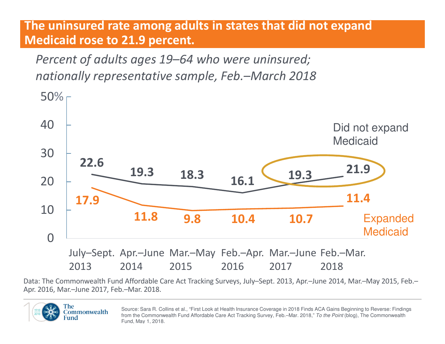#### The uninsured rate among adults in states that did not expand Medicaid rose to 21.9 percent.

Percent of adults ages 19–64 who were uninsured; nationally representative sample, Feb.–March 2018



Data: The Commonwealth Fund Affordable Care Act Tracking Surveys, July–Sept. 2013, Apr.–June 2014, Mar.–May 2015, Feb.–Apr. 2016, Mar.–June 2017, Feb.–Mar. 2018.



Source: Sara R. Collins et al., "First Look at Health Insurance Coverage in 2018 Finds ACA Gains Beginning to Reverse: Findings from the Commonwealth Fund Affordable Care Act Tracking Survey, Feb.–Mar. 2018," *To the Point* (blog), The Commonwealth Fund, May 1, 2018.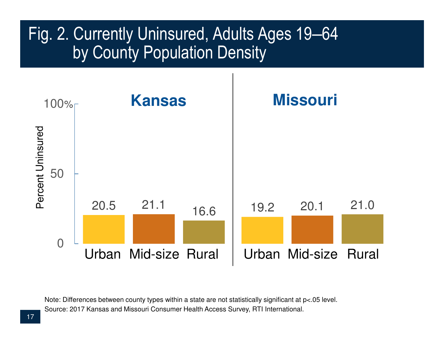#### Fig. 2. Currently Uninsured, Adults Ages 19‒64 by County Population Density



Source: 2017 Kansas and Missouri Consumer Health Access Survey, RTI International.Note: Differences between county types within a state are not statistically significant at p<.05 level.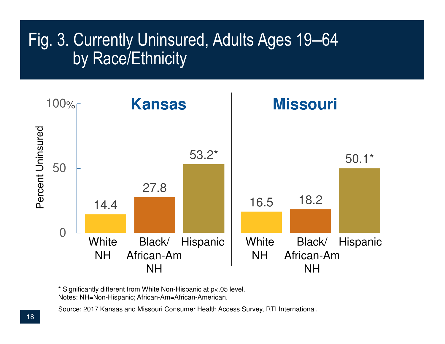## Fig. 3. Currently Uninsured, Adults Ages 19‒64 by Race/Ethnicity



\* Significantly different from White Non-Hispanic at p<.05 level. Notes: NH=Non-Hispanic; African-Am=African-American.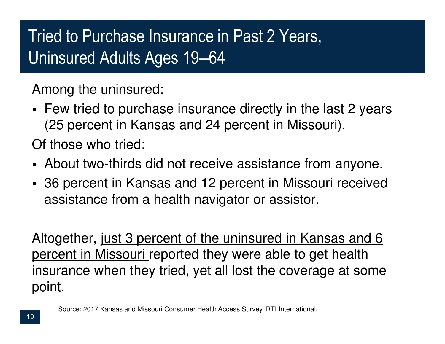# Tried to Purchase Insurance in Past 2 Years, Uninsured Adults Ages 19‒64

Among the uninsured:

 Few tried to purchase insurance directly in the last 2 years (25 percent in Kansas and 24 percent in Missouri).

Of those who tried:

- About two-thirds did not receive assistance from anyone.
- 36 percent in Kansas and 12 percent in Missouri received assistance from a health navigator or assistor.

Altogether, just 3 percent of the uninsured in Kansas and 6 percent in Missouri reported they were able to get health insurance when they tried, yet all lost the coverage at some point.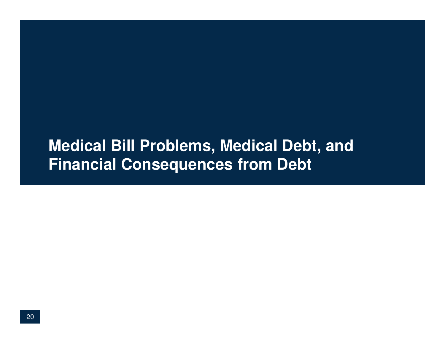#### **Medical Bill Problems, Medical Debt, and Financial Consequences from Debt**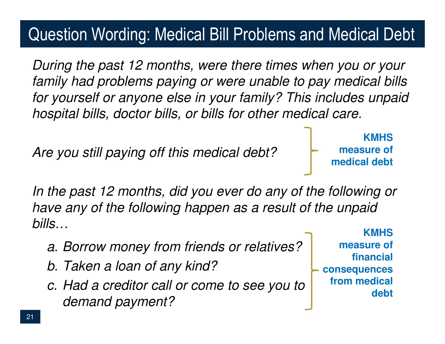# Question Wording: Medical Bill Problems and Medical Debt

During the past 12 months, were there times when you or your family had problems paying or were unable to pay medical bills for yourself or anyone else in your family? This includes unpaid hospital bills, doctor bills, or bills for other medical care.

Are you still paying off this medical debt?

**KMHS measure of medical debt**

In the past 12 months, did you ever do any of the following or have any of the following happen as a result of the unpaid bills…

- a. Borrow money from friends or relatives?
- b. Taken a loan of any kind?
- c. Had a creditor call or come to see you to demand payment?

**KMHS measure of financial consequences from medical debt**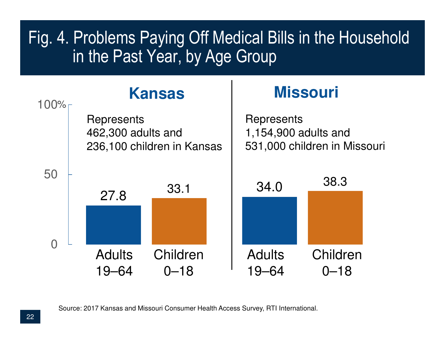## Fig. 4. Problems Paying Off Medical Bills in the Household in the Past Year, by Age Group

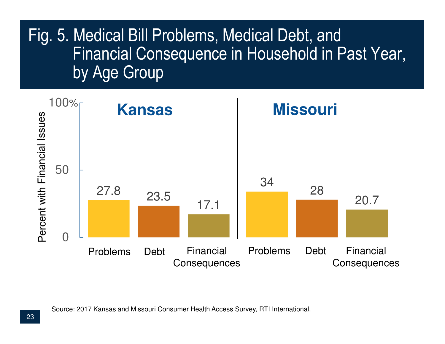## Fig. 5. Medical Bill Problems, Medical Debt, and Financial Consequence in Household in Past Year, by Age Group

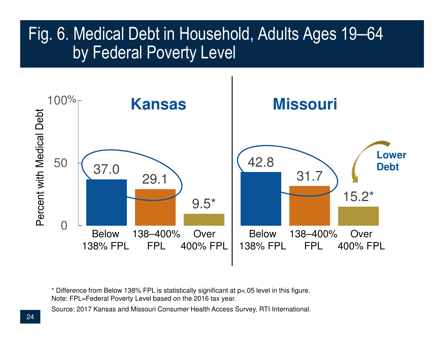#### Fig. 6. Medical Debt in Household, Adults Ages 19–64 by Federal Poverty Level



\* Difference from Below 138% FPL is statistically significant at p<.05 level in this figure.Note: FPL=Federal Poverty Level based on the 2016 tax year.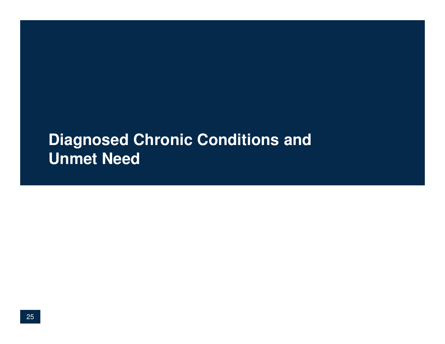#### **Diagnosed Chronic Conditions and Unmet Need**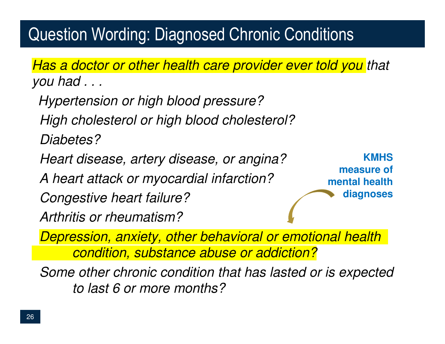# Question Wording: Diagnosed Chronic Conditions

Has a doctor or other health care provider ever told you that you had . . .

Hypertension or high blood pressure?High cholesterol or high blood cholesterol?Diabetes?Heart disease, artery disease, or angina? A heart attack or myocardial infarction? Congestive heart failure?Arthritis or rheumatism?Depression, anxiety, other behavioral or emotional health condition, substance abuse or addiction?**KMHS measure of mental health diagnoses**

Some other chronic condition that has lasted or is expectedto last 6 or more months?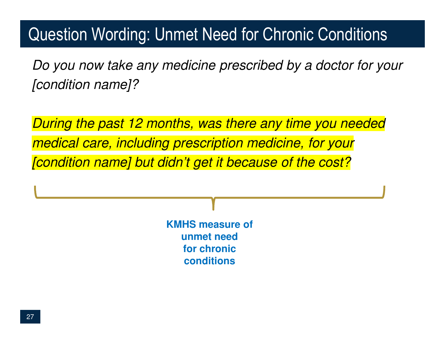## Question Wording: Unmet Need for Chronic Conditions

Do you now take any medicine prescribed by a doctor for your[condition name]?

During the past 12 months, was there any time you neededmedical care, including prescription medicine, for your[condition name] but didn't get it because of the cost?

> **KMHS measure of unmet need for chronic conditions**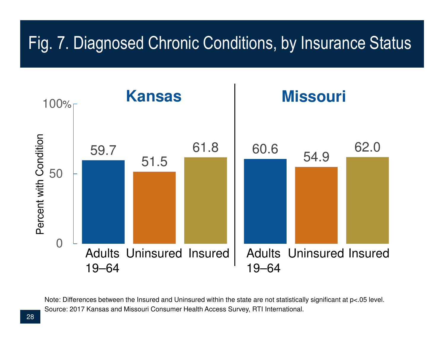# Fig. 7. Diagnosed Chronic Conditions, by Insurance Status



Source: 2017 Kansas and Missouri Consumer Health Access Survey, RTI International.Note: Differences between the Insured and Uninsured within the state are not statistically significant at p<.05 level.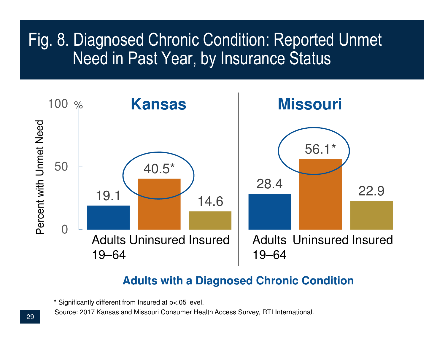### Fig. 8. Diagnosed Chronic Condition: Reported UnmetNeed in Past Year, by Insurance Status



#### **Adults with a Diagnosed Chronic Condition**

\* Significantly different from Insured at p<.05 level.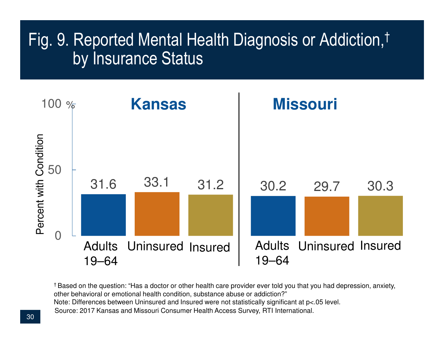### Fig. 9. Reported Mental Health Diagnosis or Addiction,† by Insurance Status



Source: 2017 Kansas and Missouri Consumer Health Access Survey, RTI International.† Based on the question: "Has a doctor or other health care provider ever told you that you had depression, anxiety, other behavioral or emotional health condition, substance abuse or addiction?"Note: Differences between Uninsured and Insured were not statistically significant at p<.05 level.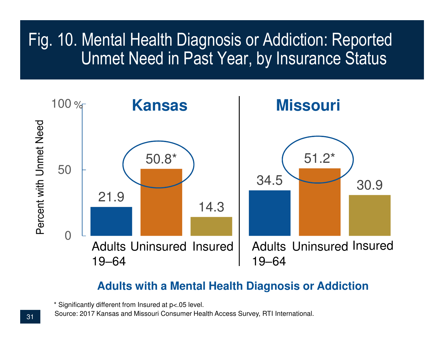### Fig. 10. Mental Health Diagnosis or Addiction: Reported Unmet Need in Past Year, by Insurance Status



#### **Adults with a Mental Health Diagnosis or Addiction**

\* Significantly different from Insured at p<.05 level.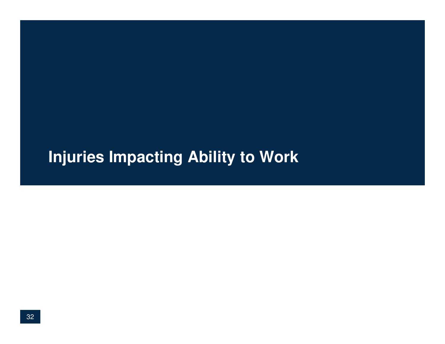## **Injuries Impacting Ability to Work**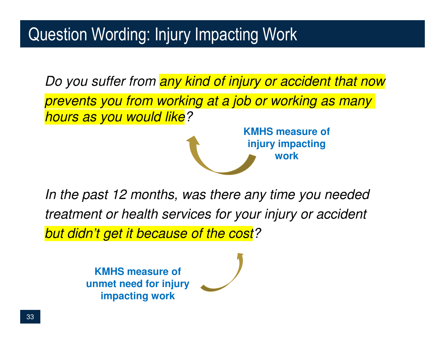Do you suffer from any kind of injury or accident that now prevents you from working at a job or working as many hours as you would like?**KMHS measure of** 

> **injury impacting work**

In the past 12 months, was there any time you needed treatment or health services for your injury or accident but didn't get it because of the cost?

> **KMHS measure of unmet need for injury impacting work**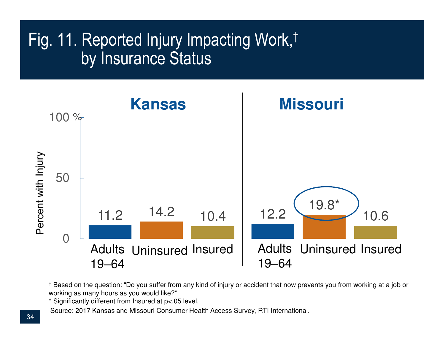## Fig. 11. Reported Injury Impacting Work,† by Insurance Status



† Based on the question: "Do you suffer from any kind of injury or accident that now prevents you from working at a job or working as many hours as you would like?"

\* Significantly different from Insured at p<.05 level.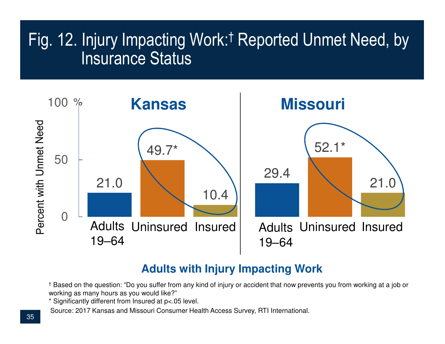## Fig. 12. Injury Impacting Work:† Reported Unmet Need, by Insurance Status



#### **Adults with Injury Impacting Work**

† Based on the question: "Do you suffer from any kind of injury or accident that now prevents you from working at a job or working as many hours as you would like?"

\* Significantly different from Insured at p<.05 level.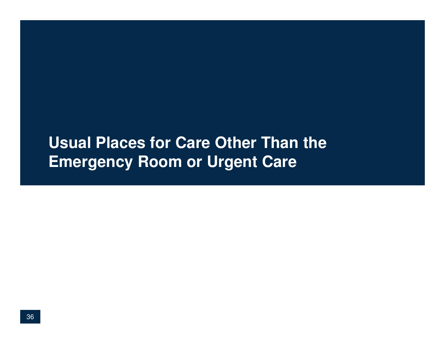#### **Usual Places for Care Other Than the Emergency Room or Urgent Care**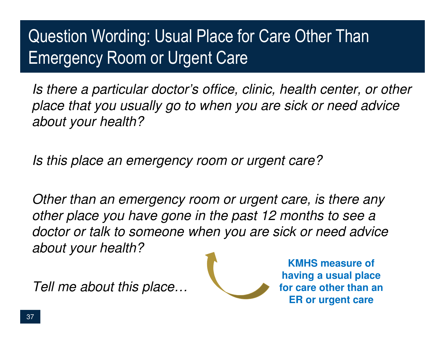# Question Wording: Usual Place for Care Other Than Emergency Room or Urgent Care

Is there a particular doctor's office, clinic, health center, or other place that you usually go to when you are sick or need adviceabout your health?

Is this place an emergency room or urgent care?

Other than an emergency room or urgent care, is there any other place you have gone in the past 12 months to see a doctor or talk to someone when you are sick or need advice about your health?

Tell me about this place…



**KMHS measure of having a usual place for care other than an ER or urgent care**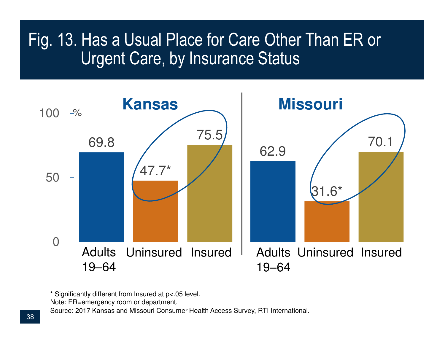#### Fig. 13. Has a Usual Place for Care Other Than ER or Urgent Care, by Insurance Status



\* Significantly different from Insured at p<.05 level.

Note: ER=emergency room or department.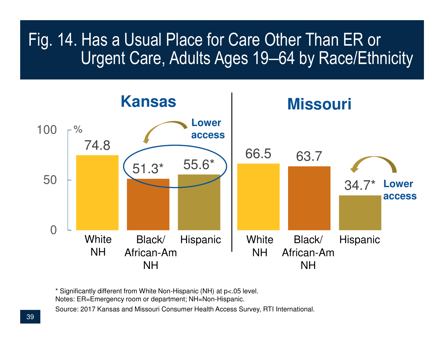### Fig. 14. Has a Usual Place for Care Other Than ER or Urgent Care, Adults Ages 19–64 by Race/Ethnicity



\* Significantly different from White Non-Hispanic (NH) at p<.05 level.

Notes: ER=Emergency room or department; NH=Non-Hispanic.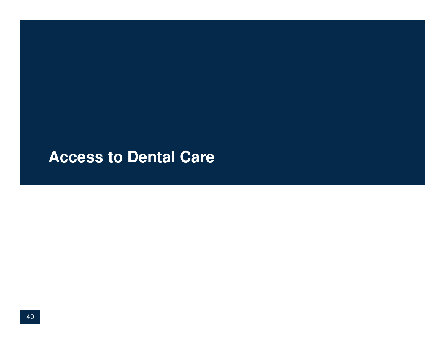#### **Access to Dental Care**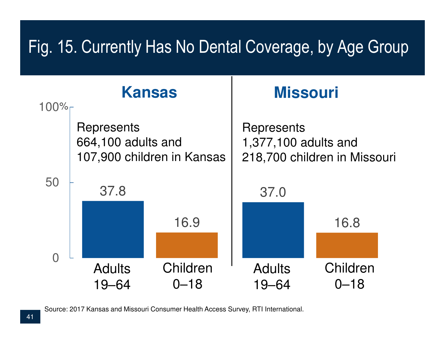# Fig. 15. Currently Has No Dental Coverage, by Age Group

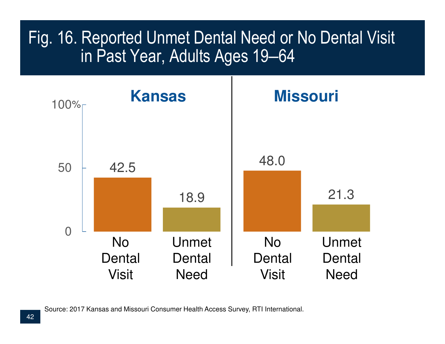## Fig. 16. Reported Unmet Dental Need or No Dental Visit in Past Year, Adults Ages 19‒64

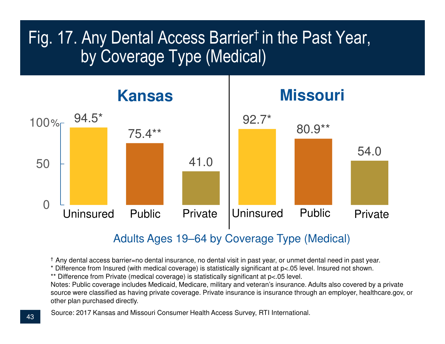## Fig. 17. Any Dental Access Barrier† in the Past Year, by Coverage Type (Medical)



#### Adults Ages 19‒64 by Coverage Type (Medical)

† Any dental access barrier=no dental insurance, no dental visit in past year, or unmet dental need in past year.

\* Difference from Insured (with medical coverage) is statistically significant at p<.05 level. Insured not shown.

\*\* Difference from Private (medical coverage) is statistically significant at p<.05 level.

 Notes: Public coverage includes Medicaid, Medicare, military and veteran's insurance. Adults also covered by a private source were classified as having private coverage. Private insurance is insurance through an employer, healthcare.gov, or other plan purchased directly.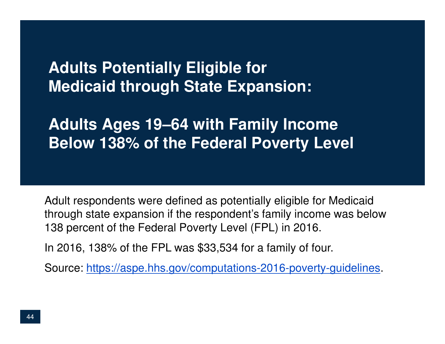**Adults Potentially Eligible for Medicaid through State Expansion:** 

**Adults Ages 19**‒**64 with Family Income Below 138% of the Federal Poverty Level**

Adult respondents were defined as potentially eligible for Medicaid through state expansion if the respondent's family income was below 138 percent of the Federal Poverty Level (FPL) in 2016.

In 2016, 138% of the FPL was \$33,534 for a family of four.

Source: https://aspe.hhs.gov/computations-2016-poverty-guidelines.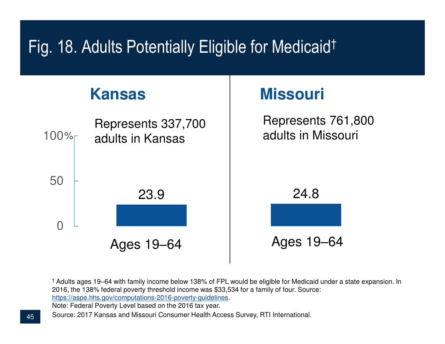## Fig. 18. Adults Potentially Eligible for Medicaid†

#### 23.9 24.8  $\Omega$ 50100%Represents 761,800 adults in MissouriAges 19‒64**Kansas Missouri** Ages 19‒64Represents 337,700 adults in Kansas

† Adults ages 19‒64 with family income below 138% of FPL would be eligible for Medicaid under a state expansion. In 2016, the 138% federal poverty threshold income was \$33,534 for a family of four. Source: https://aspe.hhs.gov/computations-2016-poverty-guidelines.

Note: Federal Poverty Level based on the 2016 tax year.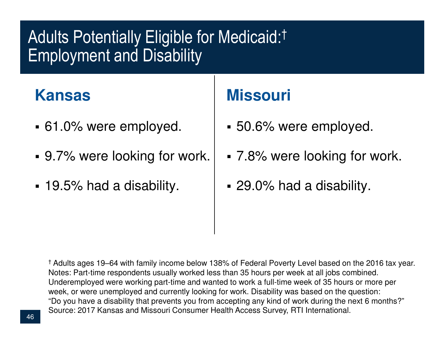# Adults Potentially Eligible for Medicaid:† Employment and Disability

#### **Kansas**

- 61.0% were employed.
- 9.7% were looking for work.
- 19.5% had a disability.

#### **Missouri**

- 50.6% were employed.
- 7.8% were looking for work.
- 29.0% had a disability.

† Adults ages 19‒64 with family income below 138% of Federal Poverty Level based on the 2016 tax year. Notes: Part-time respondents usually worked less than 35 hours per week at all jobs combined.Underemployed were working part-time and wanted to work a full-time week of 35 hours or more per week, or were unemployed and currently looking for work. Disability was based on the question: "Do you have a disability that prevents you from accepting any kind of work during the next 6 months?"Source: 2017 Kansas and Missouri Consumer Health Access Survey, RTI International.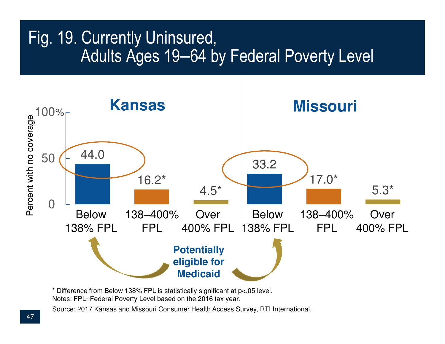#### Fig. 19. Currently Uninsured, Adults Ages 19–64 by Federal Poverty Level



\* Difference from Below 138% FPL is statistically significant at p<.05 level.Notes: FPL=Federal Poverty Level based on the 2016 tax year.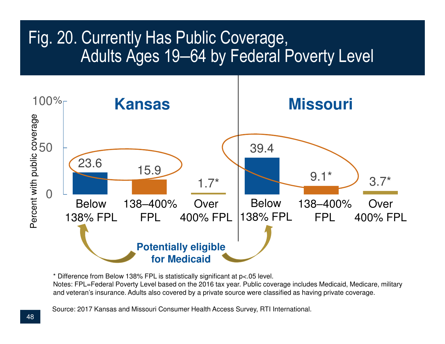#### Fig. 20. Currently Has Public Coverage, Adults Ages 19–64 by Federal Poverty Level



\* Difference from Below 138% FPL is statistically significant at p<.05 level.

 Notes: FPL=Federal Poverty Level based on the 2016 tax year. Public coverage includes Medicaid, Medicare, military and veteran's insurance. Adults also covered by a private source were classified as having private coverage.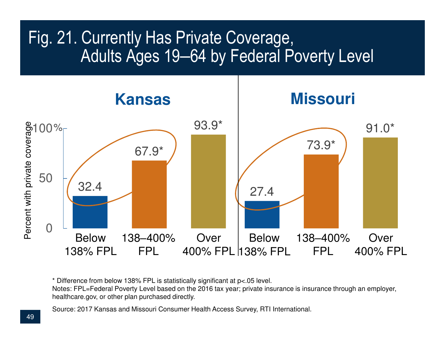#### Fig. 21. Currently Has Private Coverage, Adults Ages 19–64 by Federal Poverty Level



\* Difference from below 138% FPL is statistically significant at p<.05 level.

 Notes: FPL=Federal Poverty Level based on the 2016 tax year; private insurance is insurance through an employer, healthcare.gov, or other plan purchased directly.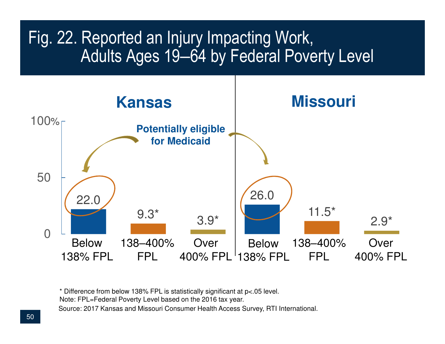#### Fig. 22. Reported an Injury Impacting Work, Adults Ages 19–64 by Federal Poverty Level



Source: 2017 Kansas and Missouri Consumer Health Access Survey, RTI International.\* Difference from below 138% FPL is statistically significant at p<.05 level.Note: FPL=Federal Poverty Level based on the 2016 tax year.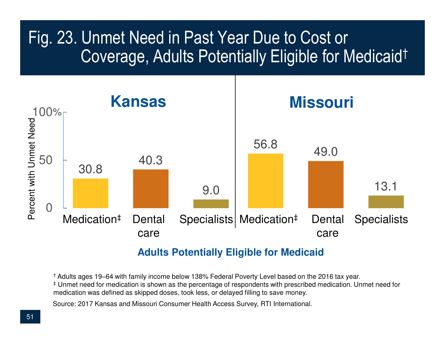### Fig. 23. Unmet Need in Past Year Due to Cost or Coverage, Adults Potentially Eligible for Medicaid†



#### **Adults Potentially Eligible for Medicaid**

† Adults ages 19‒64 with family income below 138% Federal Poverty Level based on the 2016 tax year. ‡ Unmet need for medication is shown as the percentage of respondents with prescribed medication. Unmet need for medication was defined as skipped doses, took less, or delayed filling to save money.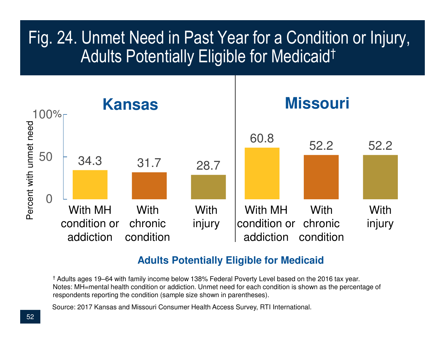## Fig. 24. Unmet Need in Past Year for a Condition or Injury,Adults Potentially Eligible for Medicaid†



#### **Adults Potentially Eligible for Medicaid**

† Adults ages 19‒64 with family income below 138% Federal Poverty Level based on the 2016 tax year. Notes: MH=mental health condition or addiction. Unmet need for each condition is shown as the percentage of respondents reporting the condition (sample size shown in parentheses).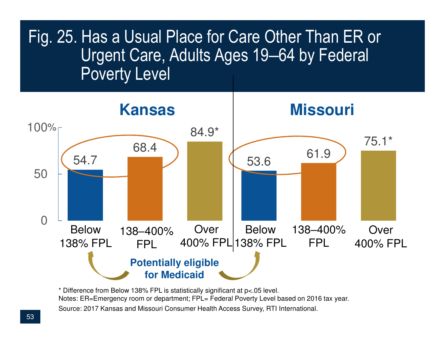

Source: 2017 Kansas and Missouri Consumer Health Access Survey, RTI International.\* Difference from Below 138% FPL is statistically significant at p<.05 level.Notes: ER=Emergency room or department; FPL= Federal Poverty Level based on 2016 tax year.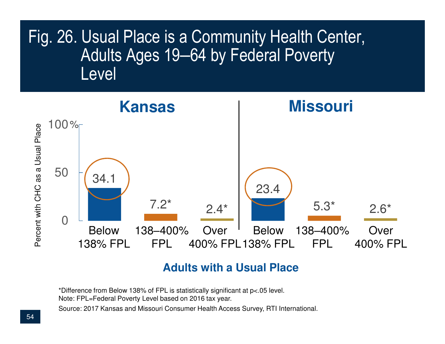#### Fig. 26. Usual Place is a Community Health Center, Adults Ages 19–64 by Federal Poverty Level



#### **Adults with a Usual Place**

\*Difference from Below 138% of FPL is statistically significant at p<.05 level.Note: FPL=Federal Poverty Level based on 2016 tax year.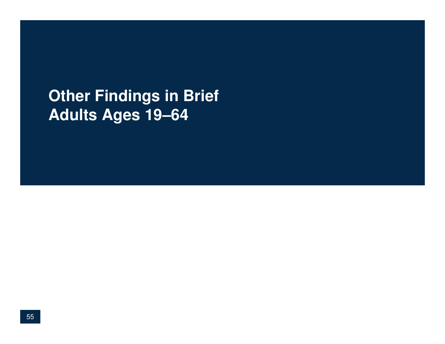#### **Other Findings in BriefAdults Ages 19**‒**64**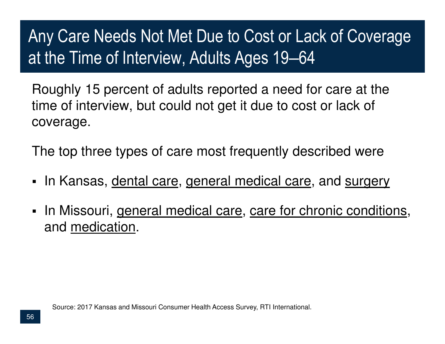# Any Care Needs Not Met Due to Cost or Lack of Coverage at the Time of Interview, Adults Ages 19–64

Roughly 15 percent of adults reported a need for care at the time of interview, but could not get it due to cost or lack of coverage.

The top three types of care most frequently described were

- n Kansas, <u>dental care, general medical care,</u> and <u>surgery </u>
- $\blacksquare$ In Missouri, general medical care, care for chronic conditions, and medication.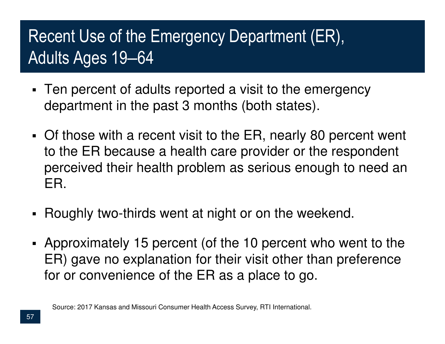# Recent Use of the Emergency Department (ER), Adults Ages 19‒64

- Ten percent of adults reported a visit to the emergency department in the past 3 months (both states).
- Of those with a recent visit to the ER, nearly 80 percent went to the ER because a health care provider or the respondent perceived their health problem as serious enough to need an ER.
- Roughly two-thirds went at night or on the weekend.
- Approximately 15 percent (of the 10 percent who went to the ER) gave no explanation for their visit other than preference for or convenience of the ER as a place to go.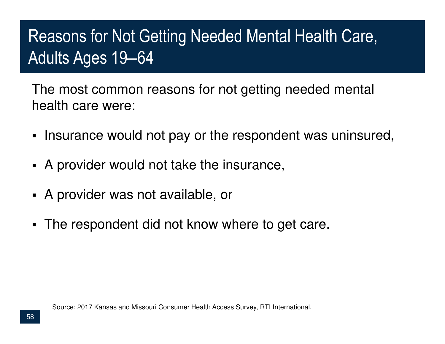# Reasons for Not Getting Needed Mental Health Care, Adults Ages 19‒64

The most common reasons for not getting needed mental health care were:

- **Insurance would not pay or the respondent was uninsured,**
- A provider would not take the insurance,
- A provider was not available, or
- $\blacksquare$ The respondent did not know where to get care.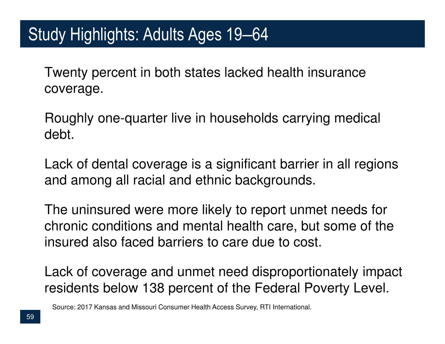### Study Highlights: Adults Ages 19‒64

Twenty percent in both states lacked health insurance coverage.

Roughly one-quarter live in households carrying medical debt.

Lack of dental coverage is a significant barrier in all regions and among all racial and ethnic backgrounds.

The uninsured were more likely to report unmet needs for chronic conditions and mental health care, but some of the insured also faced barriers to care due to cost.

Lack of coverage and unmet need disproportionately impact residents below 138 percent of the Federal Poverty Level.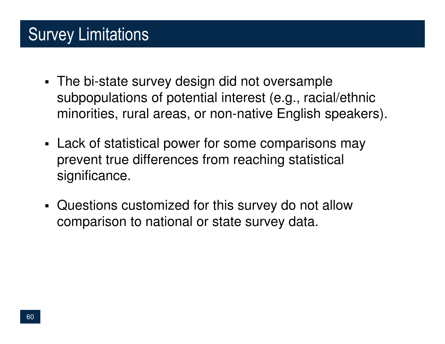# Survey Limitations

- The bi-state survey design did not oversample subpopulations of potential interest (e.g., racial/ethnic minorities, rural areas, or non-native English speakers).
- Lack of statistical power for some comparisons may prevent true differences from reaching statistical significance.
- ٠ Questions customized for this survey do not allow comparison to national or state survey data.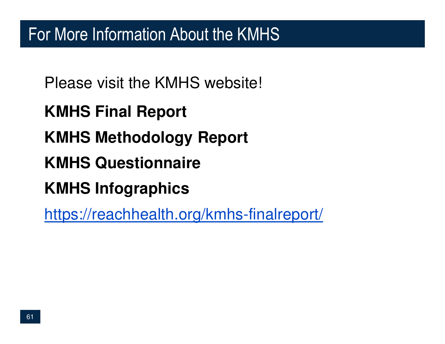Please visit the KMHS website!

**KMHS Final Report**

**KMHS Methodology Report**

**KMHS Questionnaire**

**KMHS Infographics**

https://reachhealth.org/kmhs-finalreport/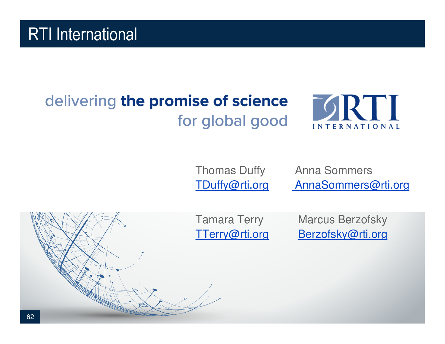### RTI International

### delivering the promise of science for global good



Thomas Duffy Anna Sommers TDuffy@rti.org AnnaSommers@rti.org

**SRTI** 

**INTERNATIONAL** 

Tamara Terry Marcus Berzofsky TTerry@rti.org Berzofsky@rti.org